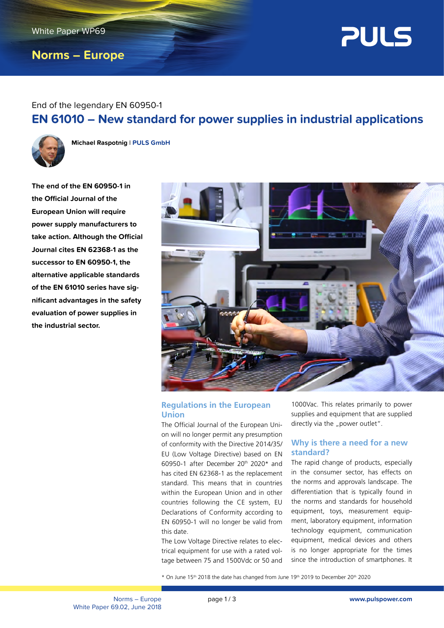# **Norms – Europe**



# End of the legendary EN 60950-1 **EN 61010 – New standard for power supplies in industrial applications**



**Michael Raspotnig** l **PULS GmbH**

**The end of the EN 60950-1 in the Official Journal of the European Union will require power supply manufacturers to take action. Although the Official Journal cites EN 62368-1 as the successor to EN 60950-1, the alternative applicable standards of the EN 61010 series have significant advantages in the safety evaluation of power supplies in the industrial sector.**



# **Regulations in the European Union**

The Official Journal of the European Union will no longer permit any presumption of conformity with the Directive 2014/35/ EU (Low Voltage Directive) based on EN 60950-1 after December  $20<sup>th</sup>$  2020\* and has cited EN 62368-1 as the replacement standard. This means that in countries within the European Union and in other countries following the CE system, EU Declarations of Conformity according to EN 60950-1 will no longer be valid from this date.

The Low Voltage Directive relates to electrical equipment for use with a rated voltage between 75 and 1500Vdc or 50 and

1000Vac. This relates primarily to power supplies and equipment that are supplied directly via the "power outlet".

## **Why is there a need for a new standard?**

The rapid change of products, especially in the consumer sector, has effects on the norms and approvals landscape. The differentiation that is typically found in the norms and standards for household equipment, toys, measurement equipment, laboratory equipment, information technology equipment, communication equipment, medical devices and others is no longer appropriate for the times since the introduction of smartphones. It

 $*$  On June 15<sup>th</sup> 2018 the date has changed from June 19<sup>th</sup> 2019 to December 20<sup>th</sup> 2020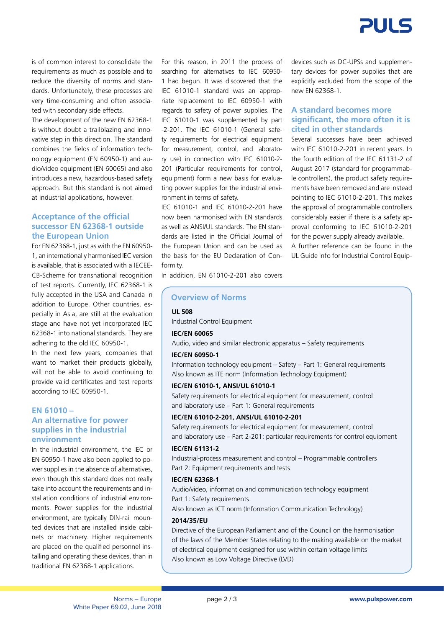

is of common interest to consolidate the requirements as much as possible and to reduce the diversity of norms and standards. Unfortunately, these processes are very time-consuming and often associated with secondary side effects.

The development of the new EN 62368-1 is without doubt a trailblazing and innovative step in this direction. The standard combines the fields of information technology equipment (EN 60950-1) and audio/video equipment (EN 60065) and also introduces a new, hazardous-based safety approach. But this standard is not aimed at industrial applications, however.

## **Acceptance of the official successor EN 62368-1 outside the European Union**

For EN 62368-1, just as with the EN 60950- 1, an internationally harmonised IEC version is available, that is associated with a IECEE-CB-Scheme for transnational recognition of test reports. Currently, IEC 62368-1 is fully accepted in the USA and Canada in addition to Europe. Other countries, especially in Asia, are still at the evaluation stage and have not yet incorporated IEC 62368-1 into national standards. They are adhering to the old IEC 60950-1.

In the next few years, companies that want to market their products globally, will not be able to avoid continuing to provide valid certificates and test reports according to IEC 60950-1.

## **EN 61010 – An alternative for power supplies in the industrial environment**

In the industrial environment, the IEC or EN 60950-1 have also been applied to power supplies in the absence of alternatives, even though this standard does not really take into account the requirements and installation conditions of industrial environments. Power supplies for the industrial environment, are typically DIN-rail mounted devices that are installed inside cabinets or machinery. Higher requirements are placed on the qualified personnel installing and operating these devices, than in traditional EN 62368-1 applications.

For this reason, in 2011 the process of searching for alternatives to IEC 60950- 1 had begun. It was discovered that the IEC 61010-1 standard was an appropriate replacement to IEC 60950-1 with regards to safety of power supplies. The IEC 61010-1 was supplemented by part -2-201. The IEC 61010-1 (General safety requirements for electrical equipment for measurement, control, and laboratory use) in connection with IEC 61010-2- 201 (Particular requirements for control, equipment) form a new basis for evaluating power supplies for the industrial environment in terms of safety.

IEC 61010-1 and IEC 61010-2-201 have now been harmonised with EN standards as well as ANSI/UL standards. The FN standards are listed in the Official Journal of the European Union and can be used as the basis for the EU Declaration of Conformity.

devices such as DC-UPSs and supplementary devices for power supplies that are explicitly excluded from the scope of the new EN 62368-1.

## **A standard becomes more significant, the more often it is cited in other standards**

Several successes have been achieved with IEC 61010-2-201 in recent years. In the fourth edition of the IEC 61131-2 of August 2017 (standard for programmable controllers), the product safety requirements have been removed and are instead pointing to IEC 61010-2-201. This makes the approval of programmable controllers considerably easier if there is a safety approval conforming to IEC 61010-2-201 for the power supply already available. A further reference can be found in the UL Guide Info for Industrial Control Equip-

In addition, EN 61010-2-201 also covers

## **Overview of Norms**

**UL 508**

Industrial Control Equipment

#### **IEC/EN 60065**

Audio, video and similar electronic apparatus – Safety requirements

### **IEC/EN 60950-1**

Information technology equipment – Safety – Part 1: General requirements Also known as ITE norm (Information Technology Equipment)

### **IEC/EN 61010-1, ANSI/UL 61010-1**

Safety requirements for electrical equipment for measurement, control and laboratory use – Part 1: General requirements

## **IEC/EN 61010-2-201, ANSI/UL 61010-2-201**

Safety requirements for electrical equipment for measurement, control and laboratory use – Part 2-201: particular requirements for control equipment

#### **IEC/EN 61131-2**

Industrial-process measurement and control – Programmable controllers Part 2: Equipment requirements and tests

#### **IEC/EN 62368-1**

Audio/video, information and communication technology equipment Part 1: Safety requirements

Also known as ICT norm (Information Communication Technology)

### **2014/35/EU**

Directive of the European Parliament and of the Council on the harmonisation of the laws of the Member States relating to the making available on the market of electrical equipment designed for use within certain voltage limits Also known as Low Voltage Directive (LVD)